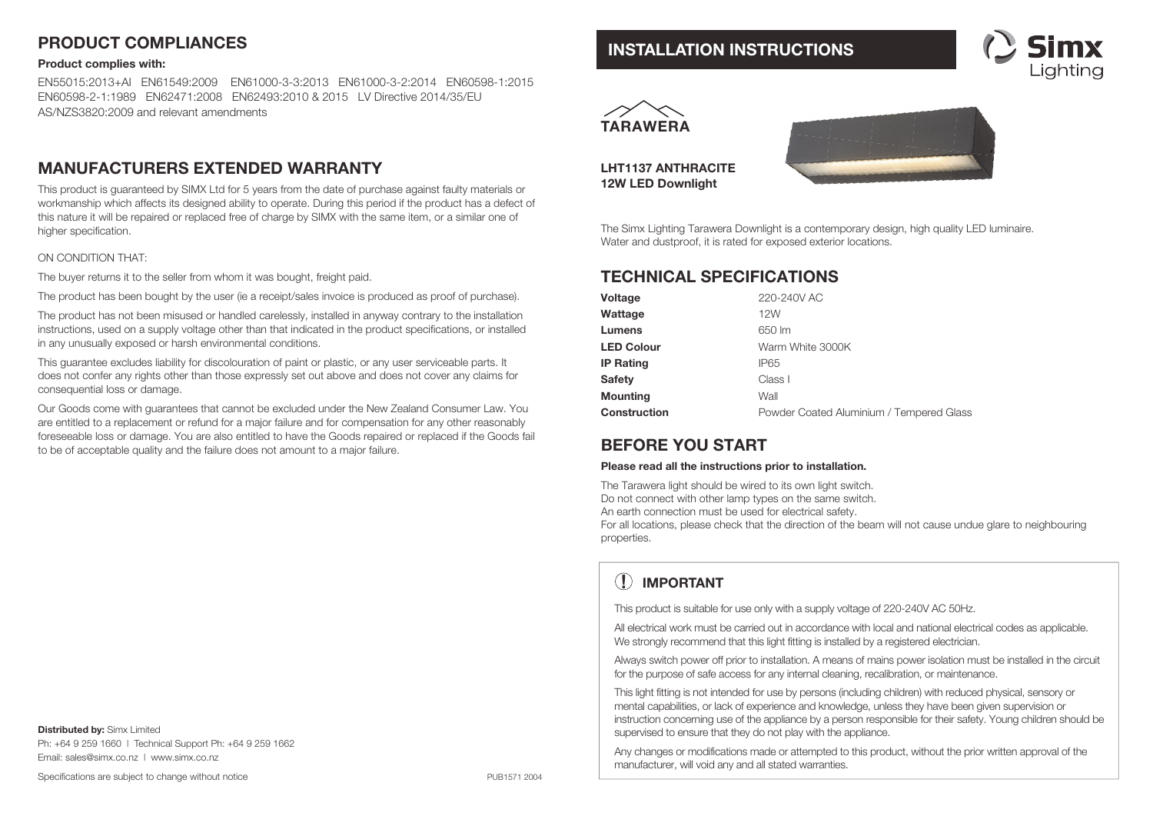## **PRODUCT COMPLIANCES**

#### **Product complies with:**

EN55015:2013+AI EN61549:2009 EN61000-3-3:2013 EN61000-3-2:2014 EN60598-1:2015EN60598-2-1:1989 EN62471:2008 EN62493:2010 & 2015 LV Directive 2014/35/EU AS/NZS3820:2009 and relevant amendments

### **MANUFACTURERS EXTENDED WARRANTY**

This product is guaranteed by SIMX Ltd for 5 years from the date of purchase against faulty materials or workmanship which affects its designed ability to operate. During this period if the product has a defect of this nature it will be repaired or replaced free of charge by SIMX with the same item, or a similar one of higher specification.

#### ON CONDITION THAT:

The buyer returns it to the seller from whom it was bought, freight paid.

The product has been bought by the user (ie a receipt/sales invoice is produced as proof of purchase).

The product has not been misused or handled carelessly, installed in anyway contrary to the installation instructions, used on a supply voltage other than that indicated in the product specifications, or installed in any unusually exposed or harsh environmental conditions.

This guarantee excludes liability for discolouration of paint or plastic, or any user serviceable parts. It does not confer any rights other than those expressly set out above and does not cover any claims for consequential loss or damage.

Our Goods come with guarantees that cannot be excluded under the New Zealand Consumer Law. You are entitled to a replacement or refund for a major failure and for compensation for any other reasonably foreseeable loss or damage. You are also entitled to have the Goods repaired or replaced if the Goods fail to be of acceptable quality and the failure does not amount to a major failure.

**Distributed by:** Simx Limited Ph: +64 9 259 1660 | Technical Support Ph: +64 9 259 1662 Email: sales@simx.co.nz | www.simx.co.nz

Specifications are subject to change without notice

### **INSTALLATION INSTRUCTIONS**





**LHT1137 ANTHRACITE12W LED Downlight** 



The Simx Lighting Tarawera Downlight is a contemporary design, high quality LED luminaire. Water and dustproof, it is rated for exposed exterior locations.

## **TECHNICAL SPECIFICATIONS**

| Voltage           | 220-240V AC                              |
|-------------------|------------------------------------------|
| Wattage           | 12W                                      |
| Lumens            | 650 lm                                   |
| <b>LED Colour</b> | Warm White 3000K                         |
| <b>IP Rating</b>  | IP65                                     |
| <b>Safetv</b>     | Class I                                  |
| <b>Mounting</b>   | Wall                                     |
| Construction      | Powder Coated Aluminium / Tempered Glass |

### **BEFORE YOU START**

#### **Please read all the instructions prior to installation.**

The Tarawera light should be wired to its own light switch.

Do not connect with other lamp types on the same switch.

An earth connection must be used for electrical safety.

For all locations, please check that the direction of the beam will not cause undue glare to neighbouring properties.

# **! IMPORTANT**

This product is suitable for use only with a supply voltage of 220-240V AC 50Hz.

All electrical work must be carried out in accordance with local and national electrical codes as applicable. We strongly recommend that this light fitting is installed by a registered electrician.

Always switch power off prior to installation. A means of mains power isolation must be installed in the circuit for the purpose of safe access for any internal cleaning, recalibration, or maintenance.

This light fitting is not intended for use by persons (including children) with reduced physical, sensory or mental capabilities, or lack of experience and knowledge, unless they have been given supervision or instruction concerning use of the appliance by a person responsible for their safety. Young children should be supervised to ensure that they do not play with the appliance.

Any changes or modifications made or attempted to this product, without the prior written approval of the manufacturer, will void any and all stated warranties.